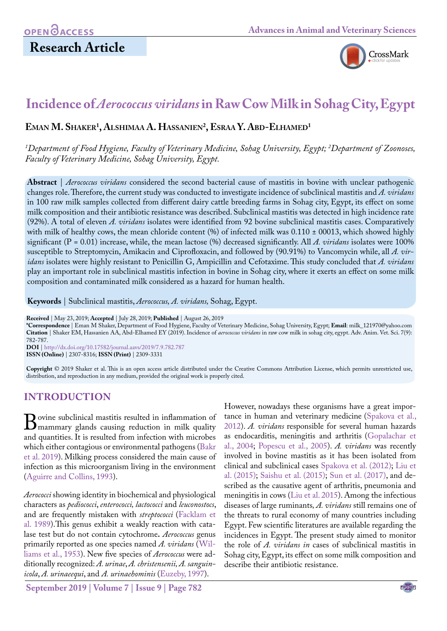# **Research Article**



# **Incidence of** *Aerococcus viridans* **in Raw Cow Milk in Sohag City, Egypt**

# **Eman M. Shaker1 , Alshimaa A. Hassanien2 , Esraa Y. Abd-Elhamed1**

*1 Department of Food Hygiene, Faculty of Veterinary Medicine, Sohag University, Egypt; 2 Department of Zoonoses, Faculty of Veterinary Medicine, Sohag University, Egypt.*

**Abstract** | *Aerococcus viridans* considered the second bacterial cause of mastitis in bovine with unclear pathogenic changes role. Therefore, the current study was conducted to investigate incidence of subclinical mastitis and *A. viridans*  in 100 raw milk samples collected from different dairy cattle breeding farms in Sohag city, Egypt, its effect on some milk composition and their antibiotic resistance was described. Subclinical mastitis was detected in high incidence rate (92%). A total of eleven *A. viridans* isolates were identified from 92 bovine subclinical mastitis cases. Comparatively with milk of healthy cows, the mean chloride content (%) of infected milk was  $0.110 \pm 00013$ , which showed highly significant  $(P = 0.01)$  increase, while, the mean lactose  $\%$  decreased significantly. All A. viridans isolates were 100% susceptible to Streptomycin, Amikacin and Ciprofloxacin, and followed by (90.91%) to Vancomycin while, all *A. viridans* isolates were highly resistant to Penicillin G, Ampicillin and Cefotaxime. This study concluded that *A. viridans* play an important role in subclinical mastitis infection in bovine in Sohag city, where it exerts an effect on some milk composition and contaminated milk considered as a hazard for human health.

**Keywords** | Subclinical mastitis, *Aerococcus, A. viridans,* Sohag, Egypt.

**Received** | May 23, 2019; **Accepted** | July 28, 2019; **Published** | August 26, 2019

**\*Correspondence** | Eman M Shaker, Department of Food Hygiene, Faculty of Veterinary Medicine, Sohag University, Egypt; **Email**: milk\_121970@yahoo.com **Citation** | Shaker EM, Hassanien AA, Abd-Elhamed EY (2019). Incidence of *aerococcus viridans* in raw cow milk in sohag city, egypt. Adv. Anim. Vet. Sci. 7(9): 782-787. **DOI** | [http://dx.doi.org/10.17582/journal.aavs/2019](http://dx.doi.org/10.17582/journal.aavs/2019/7.9.782.787)/7.9.782.787

**ISSN (Online)** | 2307-8316; **ISSN (Print)** | 2309-3331

**Copyright** © 2019 Shaker et al. This is an open access article distributed under the Creative Commons Attribution License, which permits unrestricted use, distribution, and reproduction in any medium, provided the original work is properly cited.

# **INTRODUCTION**

Bovine subclinical mastitis resulted in inflammation of<br>mammary glands causing reduction in milk quality<br>and quantities It is resulted from infection with microbes and quantities. It is resulted from infection with microbes which either contagious or environmental pathogens [\(Bakr](#page-4-0) [et al. 2019](#page-4-0)). Milking process considered the main cause of infection as this microorganism living in the environment [\(Aguirre and Collins, 1993](#page-4-1)).

*Aerococci* showing identity in biochemical and physiological characters as *pediococci*, *enterococci, lactococci* and *leuconostocs*, and are frequently mistaken with *streptococci* ([Facklam et](#page-4-2) [al. 1989](#page-4-2)).This genus exhibit a weakly reaction with catalase test but do not contain cytochrome**.** *Aerococcus* genus primarily reported as one species named *A. viridans* ([Wil](#page-5-0)[liams et al., 1953](#page-5-0)). New five species of *Aerococcus* were additionally recognized: *A. urinae*, *A. christensenii, A. sanguinicola*, *A. urinaeequi*, and *A. urinaehominis* [\(Euzeby, 1997](#page-4-3)).

**September 2019 | Volume 7 | Issue 9 | Page 782**

However, nowadays these organisms have a great importance in human and veterinary medicine ([Spakova et al.,](#page-5-1) [2012\)](#page-5-1). *A. viridans* responsible for several human hazards as endocarditis, meningitis and arthritis ([Gopalachar et](#page-4-4) [al., 2004](#page-4-4); [Popescu et al., 2005](#page-5-2)). *A. viridans* was recently involved in bovine mastitis as it has been isolated from clinical and subclinical cases [Spakova et al. \(2012\)](#page-5-1); [Liu et](#page-4-5) [al. \(2015\);](#page-4-5) [Saishu et al. \(2015\)](#page-5-3); [Sun et al. \(2017\)](#page-5-4), and described as the causative agent of arthritis, pneumonia and meningitis in cows [\(Liu et al. 2015](#page-4-5)). Among the infectious diseases of large ruminants*, A. viridans* still remains one of the threats to rural economy of many countries including Egypt. Few scientific literatures are available regarding the incidences in Egypt. The present study aimed to monitor the role of *A. viridans in* cases of subclinical mastitis in Sohag city, Egypt, its effect on some milk composition and describe their antibiotic resistance.

NE**X**US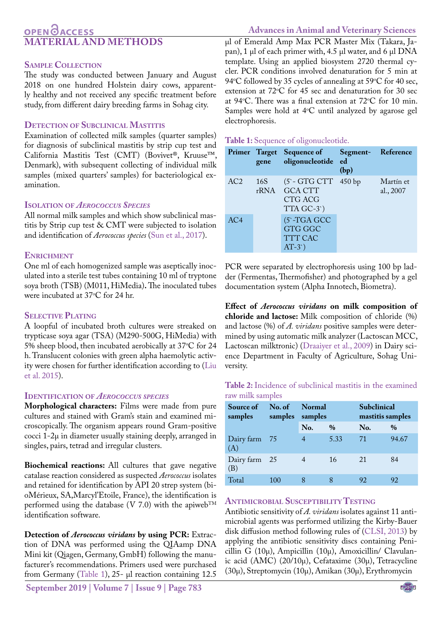# **OPENOACCESS MATERIAL AND METHODS**

# **Sample Collection**

The study was conducted between January and August 2018 on one hundred Holstein dairy cows, apparently healthy and not received any specific treatment before study, from different dairy breeding farms in Sohag city.

# **Detection of Subclinical Mastitis**

Examination of collected milk samples (quarter samples) for diagnosis of subclinical mastitis by strip cup test and California Mastitis Test (CMT) (Bovivet®, Kruuse™, Denmark), with subsequent collecting of individual milk samples (mixed quarters' samples) for bacteriological examination.

# **Isolation of** *Aerococcus Species*

All normal milk samples and which show subclinical mastitis by Strip cup test & CMT were subjected to isolation and identification of *Aerococcus species* ([Sun et al., 2017](#page-5-4)).

# **ENRICHMENT**

One ml of each homogenized sample was aseptically inoculated into a sterile test tubes containing 10 ml of tryptone soya broth (TSB) (M011, HiMedia)**.** The inoculated tubes were incubated at  $37^{\circ}$ C for 24 hr.

# **Selective Plating**

A loopful of incubated broth cultures were streaked on trypticase soya agar (TSA) (M290-500G, HiMedia) with 5% sheep blood, then incubated aerobically at 37°C for 24 h. Translucent colonies with green alpha haemolytic activity were chosen for further identification according to ([Liu](#page-4-5) [et al. 2015\)](#page-4-5).

## **Identification of** *Aerococcus species*

**Morphological characters:** Films were made from pure cultures and stained with Gram's stain and examined microscopically. The organism appears round Gram-positive cocci 1-2μ in diameter usually staining deeply, arranged in singles, pairs, tetrad and irregular clusters.

**Biochemical reactions:** All cultures that gave negative catalase reaction considered as suspected *Aerococcus* isolates and retained for identification by API 20 strep system (bioMérieux, SA,Marcyl'Etoile, France), the identification is performed using the database (V 7.0) with the apiweb<sup>TM</sup> identification software.

**Detection of** *Aerococcus viridans* **by using PCR:** Extraction of DNA was performed using the QIAamp DNA Mini kit (Qiagen, Germany, GmbH) following the manufacturer's recommendations. Primers used were purchased from Germany [\(Table 1\)](#page-1-0), 25- µl reaction containing 12.5

**September 2019 | Volume 7 | Issue 9 | Page 783**

µl of Emerald Amp Max PCR Master Mix (Takara, Japan), 1 µl of each primer with, 4.5 µl water, and 6 µl DNA template. Using an applied biosystem 2720 thermal cycler. PCR conditions involved denaturation for 5 min at 94°C followed by 35 cycles of annealing at 59°C for 40 sec, extension at  $72^{\circ}$ C for 45 sec and denaturation for 30 sec at 94 °C. There was a final extension at  $72$  °C for 10 min. Samples were hold at  $4^{\circ}$ C until analyzed by agarose gel electrophoresis.

## <span id="page-1-0"></span>**Table 1:** Sequence of oligonucleotide.

|                 | Primer Target<br>gene | <b>Sequence of</b><br>oligonucleotide                                      | Segment-Reference<br>ed<br>(bp) |                        |
|-----------------|-----------------------|----------------------------------------------------------------------------|---------------------------------|------------------------|
| AC <sub>2</sub> | 16S                   | $(5 - GTGCTT 450 bp$<br>rRNA GCA CTT<br>CTG ACG<br>TTA GC-3 <sup>'</sup> ) |                                 | Martín et<br>al., 2007 |
| AC <sub>4</sub> |                       | $(5)-TGA GCC$<br><b>GTG GGC</b><br><b>TTT CAC</b><br>$AT-3$                |                                 |                        |

PCR were separated by electrophoresis using 100 bp ladder (Fermentas, Thermofisher) and photographed by a gel documentation system (Alpha Innotech, Biometra).

**Effect of** *Aerococcus viridans* **on milk composition of chloride and lactose:** Milk composition of chloride (%) and lactose (%) of *A. viridans* positive samples were determined by using automatic milk analyzer (Lactoscan MCC, Lactoscan milktronic) ([Draaiyer et al., 2009](#page-4-6)) in Dairy science Department in Faculty of Agriculture, Sohag University.

## <span id="page-1-1"></span>**Table 2:** Incidence of subclinical mastitis in the examined raw milk samples

| Source of<br>samples | No. of Normal<br>samples | samples |      | <b>Subclinical</b><br>mastitis samples |               |  |
|----------------------|--------------------------|---------|------|----------------------------------------|---------------|--|
|                      |                          | No.     | $\%$ | No.                                    | $\frac{0}{0}$ |  |
| Dairy farm 75<br>(A) |                          | 4       | 5.33 | 71                                     | 94.67         |  |
| Dairy farm 25<br>(B) |                          |         | 16   | 21                                     | 84            |  |
| Total                | 100                      |         |      | 92                                     | 92            |  |

# **Antimicrobial Susceptibility Testing**

Antibiotic sensitivity of *A. viridans* isolates against 11 antimicrobial agents was performed utilizing the Kirby-Bauer disk diffusion method following rules of ([CLSI, 2013\)](#page-4-7) by applying the antibiotic sensitivity discs containing Penicillin G (10µ), Ampicillin (10µ), Amoxicillin/ Clavulanic acid (AMC) (20/10µ), Cefataxime (30µ), Tetracycline (30µ), Streptomycin (10µ), Amikan (30µ), Erythromycin

# **Advances in Animal and Veterinary Sciences**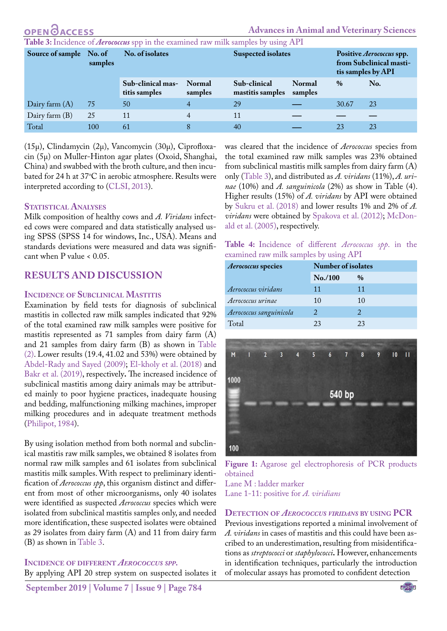**Advances in Animal and Veterinary Sciences**

<span id="page-2-0"></span>**Table 3:** Incidence of *Aerococcus* spp in the examined raw milk samples by using API

| Source of sample No. of | samples | No. of isolates                    |                          | <b>Suspected isolates</b>        |                          | Positive Aerococcus spp.<br>from Subclinical masti-<br>tis samples by API |     |
|-------------------------|---------|------------------------------------|--------------------------|----------------------------------|--------------------------|---------------------------------------------------------------------------|-----|
|                         |         | Sub-clinical mas-<br>titis samples | <b>Normal</b><br>samples | Sub-clinical<br>mastitis samples | <b>Normal</b><br>samples | $\%$                                                                      | No. |
| Dairy farm $(A)$        | 75      | 50                                 |                          | 29                               |                          | 30.67                                                                     | 23  |
| Dairy farm $(B)$        | 25      | 11                                 | 4                        | 11                               |                          |                                                                           |     |
| Total                   | 100     | 61                                 | 8                        | 40                               |                          | 23                                                                        | 23  |

(15µ), Clindamycin (2µ), Vancomycin (30µ), Ciprofloxacin (5µ) on Muller-Hinton agar plates (Oxoid, Shanghai, China) and swabbed with the broth culture, and then incubated for 24 h at 37°C in aerobic atmosphere. Results were interpreted according to ([CLSI, 2013](#page-4-7)).

## **Statistical Analyses**

Milk composition of healthy cows and *A. Viridans* infected cows were compared and data statistically analysed using SPSS (SPSS 14 for windows, Inc., USA). Means and standards deviations were measured and data was significant when P value < 0.05.

# **RESULTS AND DISCUSSION**

## **Incidence of Subclinical Mastitis**

Examination by field tests for diagnosis of subclinical mastitis in collected raw milk samples indicated that 92% of the total examined raw milk samples were positive for mastitis represented as 71 samples from dairy farm (A) and 21 samples from dairy farm (B) as shown in [Table](#page-1-1) [\(2\)](#page-1-1). Lower results (19.4, 41.02 and 53%) were obtained by [Abdel-Rady and Sayed \(2009\)](#page-4-8); [El-kholy et al. \(2018\)](#page-4-9) and [Bakr et al. \(2019\),](#page-4-0) respectively**.** The increased incidence of subclinical mastitis among dairy animals may be attributed mainly to poor hygiene practices, inadequate housing and bedding, malfunctioning milking machines, improper milking procedures and in adequate treatment methods ([Philipot, 1984\)](#page-5-5).

By using isolation method from both normal and subclinical mastitis raw milk samples, we obtained 8 isolates from normal raw milk samples and 61 isolates from subclinical mastitis milk samples. With respect to preliminary identification of *Aerococcus spp*, this organism distinct and different from most of other microorganisms, only 40 isolates were identified as suspected *Aerococcus* species which were isolated from subclinical mastitis samples only, and needed more identification, these suspected isolates were obtained as 29 isolates from dairy farm (A) and 11 from dairy farm (B) as shown in [Table 3](#page-2-0).

# **Incidence of different** *Aerococcus spp.*

By applying API 20 strep system on suspected isolates it

was cleared that the incidence of *Aerococcus* species from the total examined raw milk samples was 23% obtained from subclinical mastitis milk samples from dairy farm (A) only ([Table 3\)](#page-2-0), and distributed as *A. viridans* (11%), *A. urinae* (10%) and *A. sanguinicola* (2%) as show in Table (4). Higher results (15%) of *A. viridans* by API were obtained by [Sukru et al. \(2018\)](#page-5-6) and lower results 1% and 2% of *A. viridans* were obtained by [Spakova et al. \(2012\);](#page-5-1) [McDon](#page-4-10)[ald et al. \(2005\)](#page-4-10), respectively.

**Table 4:** Incidence of different *Aerococcus spp*. in the examined raw milk samples by using API

| <b>Aerococcus</b> species | Number of isolates |                        |  |  |  |  |
|---------------------------|--------------------|------------------------|--|--|--|--|
|                           | No. / 100          | $\frac{0}{0}$          |  |  |  |  |
| Aerococcus viridans       | 11                 | 11                     |  |  |  |  |
| Aerococcus urinae         | 10                 | 10                     |  |  |  |  |
| Aerococcus sanguinicola   | 2                  | $\mathfrak{D}_{\cdot}$ |  |  |  |  |
| Total                     | 23                 | 23                     |  |  |  |  |



<span id="page-2-1"></span>Figure 1: Agarose gel electrophoresis of PCR products obtained Lane M : ladder marker

Lane 1-11: positive for *A. viridians*

# **Detection of** *Aerococcus viridans* **by using PCR**

Previous investigations reported a minimal involvement of *A. viridans* in cases of mastitis and this could have been ascribed to an underestimation, resulting from misidentifications as *streptococci* or *staphylococci***.** However, enhancements in identification techniques, particularly the introduction of molecular assays has promoted to confident detection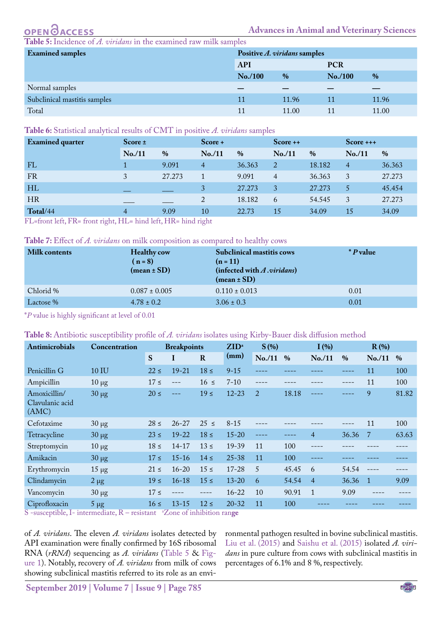<span id="page-3-0"></span>Incidence of *A. viridans* in the examined raw milk samples

| <b>Examined samples</b>      | Positive A. viridans samples |               |            |       |  |  |
|------------------------------|------------------------------|---------------|------------|-------|--|--|
|                              | <b>API</b>                   |               | <b>PCR</b> |       |  |  |
|                              | No. / 100                    | $\frac{9}{6}$ | No. / 100  | $\%$  |  |  |
| Normal samples               |                              |               |            |       |  |  |
| Subclinical mastitis samples | 11                           | 11.96         | 11         | 11.96 |  |  |
| Total                        |                              | 11.00         |            | 11.00 |  |  |

#### <span id="page-3-1"></span>**Table 6:** Statistical analytical results of CMT in positive *A. viridans* samples

| <b>Examined</b> quarter                                                                                             | Score $\pm$ | $Score +$                                                                                                                                                                                                                             |                | $Score++$ |                | $Score +++$   |          |        |
|---------------------------------------------------------------------------------------------------------------------|-------------|---------------------------------------------------------------------------------------------------------------------------------------------------------------------------------------------------------------------------------------|----------------|-----------|----------------|---------------|----------|--------|
|                                                                                                                     | No. / 11    | $\%$                                                                                                                                                                                                                                  | No. / 11       | $\%$      | No. / 11       | $\frac{0}{0}$ | No. / 11 | $\%$   |
| FL                                                                                                                  |             | 9.091                                                                                                                                                                                                                                 | $\overline{4}$ | 36.363    | 2              | 18.182        | 4        | 36.363 |
| FR                                                                                                                  |             | 27.273                                                                                                                                                                                                                                |                | 9.091     | $\overline{4}$ | 36.363        | 3        | 27.273 |
| HL                                                                                                                  |             |                                                                                                                                                                                                                                       | 3              | 27.273    | 3              | 27.273        | 5        | 45.454 |
| <b>HR</b>                                                                                                           |             |                                                                                                                                                                                                                                       | 2              | 18.182    | 6              | 54.545        | 3        | 27.273 |
| Total/44<br>$\frac{1}{2}$ and $\frac{1}{2}$ and $\frac{1}{2}$ and $\frac{1}{2}$ and $\frac{1}{2}$ and $\frac{1}{2}$ | 4           | 9.09<br>the common contract of the common contract of the common contract of the common contract of the common common common common common common common common common common common common common common common common common common | 10             | 22.73     | 15             | 34.09         | 15       | 34.09  |

FL=front left, FR= front right, HL= hind left, HR= hind right

#### <span id="page-3-2"></span>**Table 7:** Effect of *A. viridans* on milk composition as compared to healthy cows

| Milk contents | <b>Healthy cow</b><br>$(n=8)$<br>$(mean \pm SD)$ | <b>Subclinical mastitis cows</b><br>$(n = 11)$<br>(infected with $A$ <i>viridans</i> )<br>$(mean \pm SD)$ | * <i>P</i> value |
|---------------|--------------------------------------------------|-----------------------------------------------------------------------------------------------------------|------------------|
| Chlorid %     | $0.087 \pm 0.005$                                | $0.110 \pm 0.013$                                                                                         | 0.01             |
| Lactose %     | $4.78 \pm 0.2$                                   | $3.06 \pm 0.3$                                                                                            | 0.01             |

\**P* value is highly significant at level of 0.01

## <span id="page-3-3"></span>**Table 8:** Antibiotic susceptibility profile of *A. viridans* isolates using Kirby-Bauer disk diffusion method

| Antimicrobials                           | Concentration | <b>Breakpoints</b> |           | $ZID^a$<br>$S(\%)$ |           | I(%)           |       |                | $R(\%)$       |                |       |
|------------------------------------------|---------------|--------------------|-----------|--------------------|-----------|----------------|-------|----------------|---------------|----------------|-------|
|                                          |               | S                  | I         | $\bf R$            | (mm)      | No. / 11       | $\%$  | No. / 11       | $\frac{0}{0}$ | No. / 11       | $\%$  |
| Penicillin G                             | 10 IU         | $22 \le$           | $19 - 21$ | $18 \le$           | $9 - 15$  |                |       |                |               | 11             | 100   |
| Ampicillin                               | $10 \mu$ g    | $17 \le$           | $---$     | $16 \le$           | $7 - 10$  |                |       |                | ----          | 11             | 100   |
| Amoxicillin/<br>Clavulanic acid<br>(AMC) | $30 \mu g$    | $20 \leq$          |           | $19 \le$           | $12 - 23$ | $\overline{2}$ | 18.18 |                |               | 9              | 81.82 |
| Cefotaxime                               | $30 \mu g$    | $28 \le$           | $26 - 27$ | $25 \le$           | $8 - 15$  |                |       |                |               | 11             | 100   |
| Tetracycline                             | $30 \mu g$    | $23 \le$           | $19 - 22$ | $18 \le$           | $15 - 20$ | ----           |       | $\overline{4}$ | 36.36         | -7             | 63.63 |
| Streptomycin                             | $10 \mu$ g    | $18 \le$           | $14 - 17$ | $13 \le$           | $19 - 39$ | 11             | 100   |                |               |                |       |
| Amikacin                                 | $30 \mu g$    | $17 \leq$          | $15 - 16$ | $14 \le$           | $25 - 38$ | 11             | 100   | ----           |               |                |       |
| Erythromycin                             | $15 \mu$ g    | $21 \le$           | $16 - 20$ | $15 \le$           | $17 - 28$ | 5              | 45.45 | 6              | 54.54         |                |       |
| Clindamycin                              | $2 \mu g$     | $19 \le$           | $16 - 18$ | $15 \le$           | $13 - 20$ | 6              | 54.54 | $\overline{4}$ | 36.36         | $\overline{1}$ | 9.09  |
| Vancomycin                               | $30 \mu g$    | $17 \le$           |           | ----               | $16 - 22$ | 10             | 90.91 | $\mathbf{1}$   | 9.09          |                |       |
| Ciprofloxacin                            | $5 \mu$ g     | $16 \le$           | $13 - 15$ | $12 \le$           | $20 - 32$ | 11             | 100   |                |               |                |       |

S -susceptible, I- intermediate, R – resistant <sup>a</sup>Zone of inhibition ran**ge** 

of *A. viridans*. The eleven *A. viridans* isolates detected by API examination were finally confirmed by 16S ribosomal RNA (*rRNA*) sequencing as *A. viridans* [\(Table 5](#page-3-0) & [Fig](#page-2-1)[ure 1](#page-2-1)). Notably, recovery of *A. viridans* from milk of cows showing subclinical mastitis referred to its role as an environmental pathogen resulted in bovine subclinical mastitis. [Liu et al. \(2015\)](#page-4-5) and [Saishu et al. \(2015\)](#page-5-3) isolated *A. viridans* in pure culture from cows with subclinical mastitis in percentages of 6.1% and 8 %, respectively.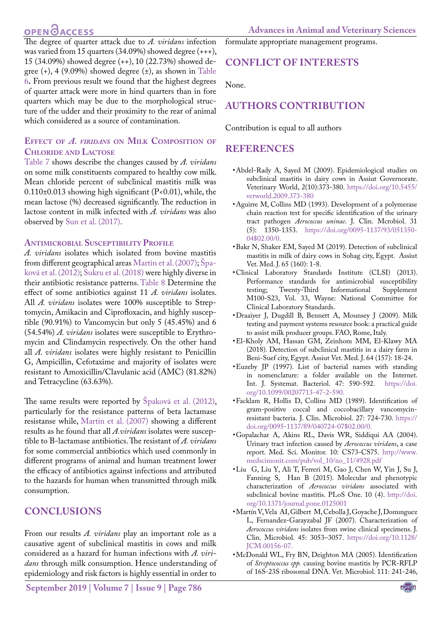# **OPEN**<sub>d</sub>

The degree of quarter attack due to *A. viridans* infection was varied from 15 quarters (34.09%) showed degree (+++), 15 (34.09%) showed degree (++), 10 (22.73%) showed degree  $(+)$ , 4 (9.09%) showed degree  $(\pm)$ , as shown in [Table](#page-3-1) [6](#page-3-1)**.** From previous result we found that the highest degrees of quarter attack were more in hind quarters than in fore quarters which may be due to the morphological structure of the udder and their proximity to the rear of animal which considered as a source of contamination.

# **Effect of** *A. viridans* **on Milk Composition of Chloride and Lactose**

[Table 7](#page-3-2) shows describe the changes caused by *A. viridans* on some milk constituents compared to healthy cow milk. Mean chloride percent of subclinical mastitis milk was 0.110±0.013 showing high significant (P<0.01), while, the mean lactose (%) decreased significantly. The reduction in lactose content in milk infected with *A. viridans* was also observed by [Sun et al. \(2017\)](#page-5-4).

## **Antimicrobial Susceptibility Profile**

*A. viridans* isolates which isolated from bovine mastitis from different geographical areas Martin et al. (2007); [Špa](#page-5-1)[ková et al. \(2012\);](#page-5-1) [Sukru et al. \(2018\)](#page-5-6) were highly diverse in their antibiotic resistance patterns. [Table 8](#page-3-3) Determine the effect of some antibiotics against 11 *A. viridans* isolates. All *A. viridans* isolates were 100% susceptible to Streptomycin, Amikacin and Ciprofloxacin, and highly susceptible (90.91%) to Vancomycin but only 5 (45.45%) and 6 (54.54%) *A. viridans* isolates were susceptible to Erythromycin and Clindamycin respectively. On the other hand all *A. viridans* isolates were highly resistant to Penicillin G, Ampicillin, Cefotaxime and majority of isolates were resistant to Amoxicillin/Clavulanic acid (AMC) (81.82%) and Tetracycline (63.63%).

The same results were reported by [Špaková et al. \(2012\)](#page-5-1), particularly for the resistance patterns of beta lactamase resistanse while, Martin et al. (2007) showing a different results as he found that all *A.viridans* isolates were susceptible to B-lactamase antibiotics. The resistant of *A. viridans* for some commercial antibiotics which used commonly in different programs of animal and human treatment lower the efficacy of antibiotics against infections and attributed to the hazards for human when transmitted through milk consumption.

# **CONCLUSIONS**

From our results *A. viridans* play an important role as a causative agent of subclinical mastitis in cows and milk considered as a hazard for human infections with *A. viridans* through milk consumption. Hence understanding of epidemiology and risk factors is highly essential in order to

**September 2019 | Volume 7 | Issue 9 | Page 786**

formulate appropriate management programs.

# **CONFLICT OF INTERESTS**

None.

# **AUTHORS CONTRIBUTION**

Contribution is equal to all authors

# **REFERENCES**

- <span id="page-4-8"></span>• Abdel-Rady A, Sayed M (2009). Epidemiological studies on subclinical mastitis in dairy cows in Assiut Governorate. Veterinary World, 2(10):373-380. [https://doi.org/10.5455/](https://doi.org/10.5455/vetworld.2009.373-380 ) [vetworld.2009.373-380](https://doi.org/10.5455/vetworld.2009.373-380 )
- <span id="page-4-1"></span>• Aguirre M, Collins MD (1993). Development of a polymerase chain reaction test for specific identification of the urinary tract pathogen *Aerococcus uninae*. J. Clin. Mcrobiol. 31 (5): 1350-1353. [https://doi.org/0095-1137/93/051350-](https://doi.org/0095-1137/93/051350-04$02.00/0 ) [04\\$02.00/0](https://doi.org/0095-1137/93/051350-04$02.00/0 ).
- <span id="page-4-0"></span>• Bakr N, Shaker EM, Sayed M (2019). Detection of subclinical mastitis in milk of dairy cows in Sohag city, Egypt. Assiut Vet. Med. J. 65 (160): 1-8.
- <span id="page-4-7"></span>• Clinical Laboratory Standards Institute (CLSI) (2013). Performance standards for antimicrobial susceptibility<br>testing; Twenty-Third Informational Supplement Informational M100-S23, Vol. 33, Wayne: National Committee for Clinical Laboratory Standards.
- <span id="page-4-6"></span>• Draaiyer J, Dugdill B, Bennett A, Mounsey J (2009). Milk testing and payment systems resource book: a practical guide to assist milk producer groups. FAO, Rome, Italy.
- <span id="page-4-9"></span>• El-Kholy AM, Hassan GM, Zeinhom MM, El-Klawy MA (2018). Detection of subclinical mastitis in a dairy farm in Beni-Suef city, Egypt. Assiut Vet. Med. J. 64 (157): 18-24.
- <span id="page-4-3"></span>• Euzeby JP (1997). List of bacterial names with standing in nomenclature: a folder available on the Internet. Int. J. Systemat. Bacteriol. 47: 590-592. [https://doi.](https://doi.org/10.1099/00207713-47-2-590 ) [org/10.1099/00207713-47-2-590.](https://doi.org/10.1099/00207713-47-2-590 )
- <span id="page-4-2"></span>• Facklam R, Hollis D, Collins MD (1989). Identification of gram-positive coccal and coccobacillary vancomycinresistant bacteria. J. Clin. Microbiol. 27: 724-730. [https://](https://doi.org/0095-1137/89/040724-07$02.00/0 ) [doi.org/0095-1137/89/040724-07\\$02.00/0](https://doi.org/0095-1137/89/040724-07$02.00/0 ).
- <span id="page-4-4"></span>• Gopalachar A, Akins RL, Davis WR, Siddiqui AA (2004). Urinary tract infection caused by *Aerococcus viridans*, a case report. Med. Sci. Monitor. 10: CS73-CS75. [http://www.](http://www.medscimonit.com/pub/vol_10/no_11/4928.pdf ) [medscimonit.com/pub/vol\\_10/no\\_11/4928.pdf](http://www.medscimonit.com/pub/vol_10/no_11/4928.pdf )
- <span id="page-4-5"></span>• Liu G, Liu Y, Ali T, Ferreri M, Gao J, Chen W, Yin J, Su J, Fanning S, Han B (2015). Molecular and phenotypic characterization of *Aerococcus viridans* associated with subclinical bovine mastitis. PLoS One. 10 (4). [http://doi.](http://doi.org/10.1371/journal.pone.0125001 ) [org/10.1371/journal.pone.0125001](http://doi.org/10.1371/journal.pone.0125001 )
- • Martín V, Vela AI, Gilbert M, Cebolla J, Goyache J, Domınguez L, Fernandez-Garayzabal JF (2007). Characterization of *Aerococcus viridans* isolates from swine clinical specimens. J. Clin. Microbiol. 45: 3053–3057. [https://doi.org/10.1128/](https://doi.org/10.1128/JCM.00156-07. ) [JCM.00156-07.](https://doi.org/10.1128/JCM.00156-07. )
- <span id="page-4-10"></span>• McDonald WL, Fry BN, Deighton MA (2005). Identification of *Streptococcus spp.* causing bovine mastitis by PCR-RFLP of 16S-23S ribosomal DNA. Vet. Microbiol. 111: 241-246,